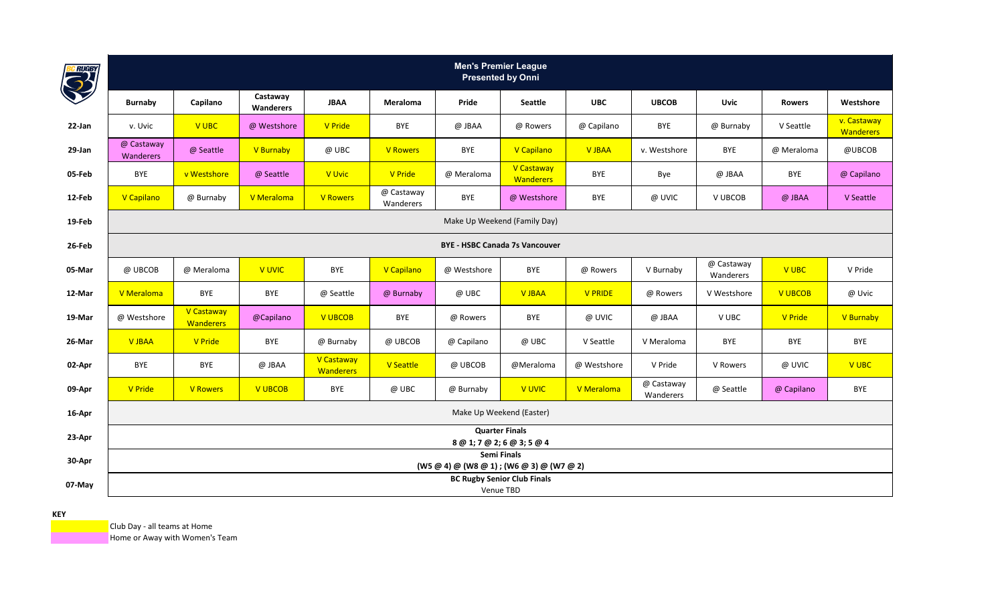| <b>BC RUGBY</b> |                                       |                                |                       |                                |                         | <b>Men's Premier League</b><br><b>Presented by Onni</b>  |                                |                |                         |                         |                |                                 |
|-----------------|---------------------------------------|--------------------------------|-----------------------|--------------------------------|-------------------------|----------------------------------------------------------|--------------------------------|----------------|-------------------------|-------------------------|----------------|---------------------------------|
|                 | <b>Burnaby</b>                        | Capilano                       | Castaway<br>Wanderers | <b>JBAA</b>                    | Meraloma                | Pride                                                    | <b>Seattle</b>                 | <b>UBC</b>     | <b>UBCOB</b>            | Uvic                    | <b>Rowers</b>  | Westshore                       |
| 22-Jan          | v. Uvic                               | V UBC                          | @ Westshore           | <b>V</b> Pride                 | BYE                     | @ JBAA                                                   | @ Rowers                       | @ Capilano     | BYE                     | @ Burnaby               | V Seattle      | v. Castaway<br><b>Wanderers</b> |
| 29-Jan          | @ Castaway<br>Wanderers               | @ Seattle                      | V Burnaby             | @ UBC                          | <b>V</b> Rowers         | BYE                                                      | V Capilano                     | V JBAA         | v. Westshore            | BYE                     | @ Meraloma     | @UBCOB                          |
| 05-Feb          | BYE                                   | v Westshore                    | @ Seattle             | V Uvic                         | <b>V</b> Pride          | @ Meraloma                                               | V Castaway<br><b>Wanderers</b> | <b>BYE</b>     | Bye                     | @ JBAA                  | <b>BYE</b>     | @ Capilano                      |
| 12-Feb          | V Capilano                            | @ Burnaby                      | V Meraloma            | <b>V</b> Rowers                | @ Castaway<br>Wanderers | BYE                                                      | @ Westshore                    | <b>BYE</b>     | @ UVIC                  | V UBCOB                 | @ JBAA         | V Seattle                       |
| 19-Feb          | Make Up Weekend (Family Day)          |                                |                       |                                |                         |                                                          |                                |                |                         |                         |                |                                 |
| 26-Feb          | <b>BYE - HSBC Canada 7s Vancouver</b> |                                |                       |                                |                         |                                                          |                                |                |                         |                         |                |                                 |
| 05-Mar          | @ UBCOB                               | @ Meraloma                     | V UVIC                | <b>BYE</b>                     | V Capilano              | @ Westshore                                              | <b>BYE</b>                     | @ Rowers       | V Burnaby               | @ Castaway<br>Wanderers | <b>V UBC</b>   | V Pride                         |
| 12-Mar          | V Meraloma                            | BYE                            | BYE                   | @ Seattle                      | @ Burnaby               | @ UBC                                                    | <b>V JBAA</b>                  | <b>V PRIDE</b> | @ Rowers                | V Westshore             | <b>V UBCOB</b> | @ Uvic                          |
| 19-Mar          | @ Westshore                           | V Castaway<br><b>Wanderers</b> | @Capilano             | <b>V UBCOB</b>                 | BYE                     | @ Rowers                                                 | <b>BYE</b>                     | @ UVIC         | @ JBAA                  | V UBC                   | <b>V</b> Pride | V Burnaby                       |
| 26-Mar          | <b>V JBAA</b>                         | <b>V</b> Pride                 | <b>BYE</b>            | @ Burnaby                      | @ UBCOB                 | @ Capilano                                               | @ UBC                          | V Seattle      | V Meraloma              | BYE                     | <b>BYE</b>     | BYE                             |
| 02-Apr          | BYE                                   | <b>BYE</b>                     | @ JBAA                | V Castaway<br><b>Wanderers</b> | <b>V</b> Seattle        | @ UBCOB                                                  | @Meraloma                      | @ Westshore    | V Pride                 | V Rowers                | @ UVIC         | V UBC                           |
| 09-Apr          | V Pride                               | <b>V Rowers</b>                | <b>V UBCOB</b>        | <b>BYE</b>                     | @ UBC                   | @ Burnaby                                                | V UVIC                         | V Meraloma     | @ Castaway<br>Wanderers | @ Seattle               | @ Capilano     | BYE                             |
| 16-Apr          |                                       |                                |                       |                                |                         | Make Up Weekend (Easter)                                 |                                |                |                         |                         |                |                                 |
| 23-Apr          |                                       |                                |                       |                                |                         | <b>Quarter Finals</b><br>8 @ 1; 7 @ 2; 6 @ 3; 5 @ 4      |                                |                |                         |                         |                |                                 |
| 30-Apr          |                                       |                                |                       |                                |                         | Semi Finals<br>(W5 @ 4) @ (W8 @ 1) ; (W6 @ 3) @ (W7 @ 2) |                                |                |                         |                         |                |                                 |
| 07-May          |                                       |                                |                       |                                |                         | <b>BC Rugby Senior Club Finals</b><br>Venue TBD          |                                |                |                         |                         |                |                                 |

Club Day - all teams at Home

**Home or Away with Women's Team**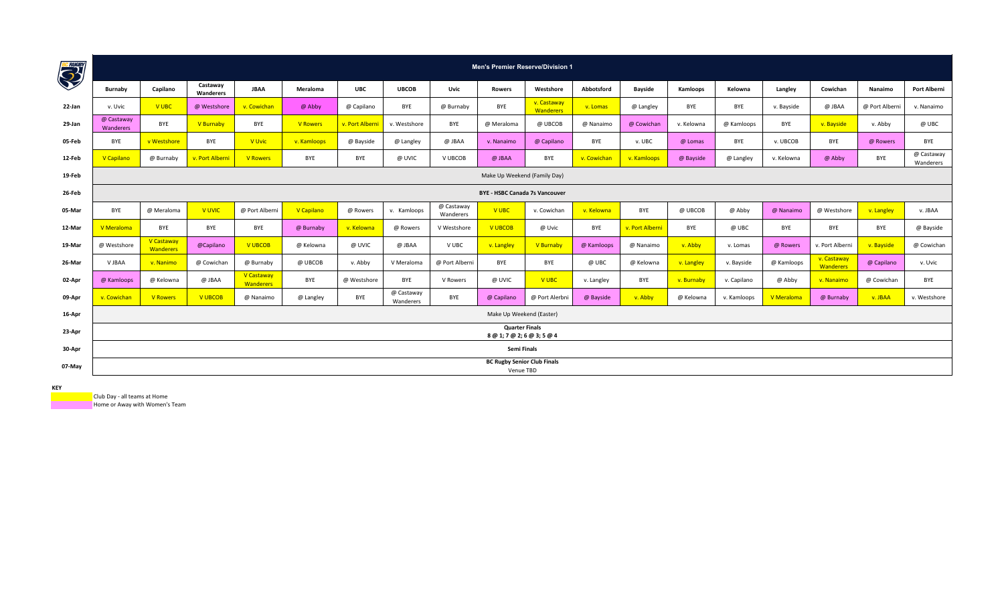| <b>BC RUGST</b> |                                       |                         |                       |                         |                 |                 |                         |                         | <b>Men's Premier Reserve/Division 1</b>             |                                 |             |                 |            |             |                   |                          |                |                         |
|-----------------|---------------------------------------|-------------------------|-----------------------|-------------------------|-----------------|-----------------|-------------------------|-------------------------|-----------------------------------------------------|---------------------------------|-------------|-----------------|------------|-------------|-------------------|--------------------------|----------------|-------------------------|
|                 | Burnaby                               | Capilano                | Castaway<br>Wanderers | <b>JBAA</b>             | Meraloma        | <b>UBC</b>      | <b>UBCOB</b>            | Uvic                    | <b>Rowers</b>                                       | Westshore                       | Abbotsford  | <b>Bayside</b>  | Kamloops   | Kelowna     | Langley           | Cowichan                 | Nanaimo        | <b>Port Alberni</b>     |
| 22-Jan          | v. Uvic                               | V UBC                   | @ Westshore           | v. Cowichan             | @ Abby          | @ Capilano      | <b>BYE</b>              | @ Burnaby               | BYE                                                 | v. Castaway<br><b>Wanderers</b> | v. Lomas    | @ Langley       | BYE        | BYE         | v. Bayside        | @ JBAA                   | @ Port Alberni | v. Nanaimo              |
| 29-Jan          | @ Castaway<br>Wanderers               | <b>BYE</b>              | V Burnaby             | BYE                     | <b>V</b> Rowers | v. Port Alberni | v. Westshore            | <b>BYE</b>              | @ Meraloma                                          | @ UBCOB                         | @ Nanaimo   | @ Cowichan      | v. Kelowna | @ Kamloops  | BYE               | v. Bayside               | v. Abby        | @ UBC                   |
| 05-Feb          | <b>BYE</b>                            | v Westshore             | BYE                   | V Uvic                  | v. Kamloops     | @ Bayside       | @ Langley               | @ JBAA                  | v. Nanaimo                                          | @ Capilano                      | BYE         | v. UBC          | @ Lomas    | BYE         | v. UBCOB          | BYE                      | @ Rowers       | BYE                     |
| 12-Feb          | V Capilano                            | @ Burnaby               | v. Port Albern        | <b>V</b> Rowers         | <b>BYE</b>      | BYE             | @ UVIC                  | V UBCOB                 | @ JBAA                                              | BYE                             | v. Cowichan | v. Kamloops     | @ Bayside  | @ Langley   | v. Kelowna        | @ Abby                   | <b>BYE</b>     | @ Castaway<br>Wanderers |
| 19-Feb          | Make Up Weekend (Family Day)          |                         |                       |                         |                 |                 |                         |                         |                                                     |                                 |             |                 |            |             |                   |                          |                |                         |
| 26-Feb          | <b>BYE - HSBC Canada 7s Vancouver</b> |                         |                       |                         |                 |                 |                         |                         |                                                     |                                 |             |                 |            |             |                   |                          |                |                         |
| 05-Mar          | <b>BYE</b>                            | @ Meraloma              | <b>V UVIC</b>         | @ Port Alberni          | V Capilano      | @ Rowers        | v. Kamloops             | @ Castaway<br>Wanderers | <b>VUBC</b>                                         | v. Cowichan                     | v. Kelowna  | BYE             | @ UBCOB    | @ Abby      | @ Nanaimo         | @ Westshore              | v. Langley     | v. JBAA                 |
| 12-Mar          | V Meraloma                            | BYE                     | BYE                   | <b>BYE</b>              | @ Burnaby       | v. Kelowna      | @ Rowers                | V Westshore             | <b>V UBCOB</b>                                      | @ Uvic                          | BYE         | v. Port Alberni | BYE        | @ UBC       | <b>BYE</b>        | BYE                      | <b>BYE</b>     | @ Bayside               |
| 19-Mar          | @ Westshore                           | V Castaway<br>Wanderers | @Capilano             | <b>V UBCOB</b>          | @ Kelowna       | @ UVIC          | @ JBAA                  | V UBC                   | v. Langley                                          | V Burnaby                       | @ Kamloops  | @ Nanaimo       | v. Abby    | v. Lomas    | @ Rowers          | v. Port Alberni          | v. Bayside     | @ Cowichan              |
| 26-Mar          | V JBAA                                | v. Nanimo               | @ Cowichan            | @ Burnaby               | @ UBCOB         | v. Abby         | V Meraloma              | @ Port Alberni          | <b>BYE</b>                                          | BYE                             | @ UBC       | @ Kelowna       | v. Langley | v. Bayside  | @ Kamloops        | v. Castaway<br>Wanderers | @ Capilano     | v. Uvic                 |
| 02-Apr          | @ Kamloops                            | @ Kelowna               | @ JBAA                | V Castaway<br>Wanderers | <b>BYE</b>      | @ Westshore     | <b>BYE</b>              | V Rowers                | @ UVIC                                              | V UBC                           | v. Langley  | BYE             | v. Burnaby | v. Capilano | @ Abby            | v. Nanaimo               | @ Cowichan     | BYE                     |
| 09-Apr          | v. Cowichan                           | <b>V</b> Rowers         | <b>V UBCOB</b>        | @ Nanaimo               | @ Langley       | BYE             | @ Castaway<br>Wanderers | BYE                     | @ Capilano                                          | @ Port Alerbni                  | @ Bayside   | v. Abby         | @ Kelowna  | v. Kamloops | <b>V</b> Meraloma | @ Burnaby                | v. JBAA        | v. Westshore            |
| 16-Apr          |                                       |                         |                       |                         |                 |                 |                         |                         | Make Up Weekend (Easter)                            |                                 |             |                 |            |             |                   |                          |                |                         |
| 23-Apr          |                                       |                         |                       |                         |                 |                 |                         |                         | <b>Quarter Finals</b><br>8 @ 1; 7 @ 2; 6 @ 3; 5 @ 4 |                                 |             |                 |            |             |                   |                          |                |                         |
| 30-Apr          |                                       |                         |                       |                         |                 |                 |                         |                         | Semi Finals                                         |                                 |             |                 |            |             |                   |                          |                |                         |
| 07-May          |                                       |                         |                       |                         |                 |                 |                         |                         | <b>BC Rugby Senior Club Finals</b><br>Venue TBD     |                                 |             |                 |            |             |                   |                          |                |                         |

Club Day - all teams at Home

**Home or Away with Women's Team**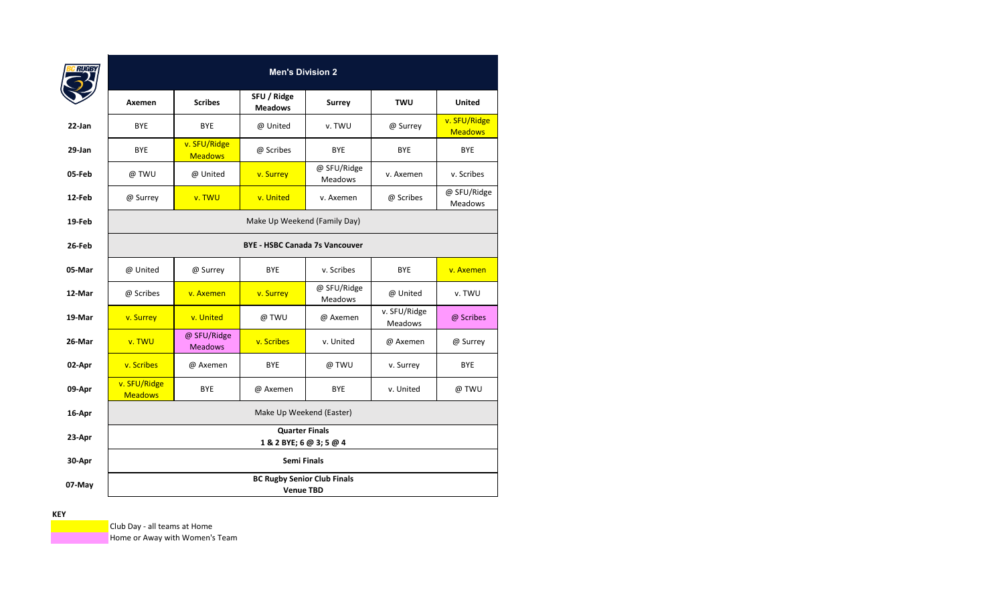|        |                                |                                | <b>Men's Division 2</b>                                |                        |                                |                                |
|--------|--------------------------------|--------------------------------|--------------------------------------------------------|------------------------|--------------------------------|--------------------------------|
|        | Axemen                         | <b>Scribes</b>                 | SFU / Ridge<br><b>Meadows</b>                          | <b>Surrey</b>          | <b>TWU</b>                     | <b>United</b>                  |
| 22-Jan | <b>BYE</b>                     | <b>BYE</b>                     | @ United                                               | v. TWU                 | @ Surrey                       | v. SFU/Ridge<br><b>Meadows</b> |
| 29-Jan | <b>BYE</b>                     | v. SFU/Ridge<br><b>Meadows</b> | @ Scribes                                              | <b>BYE</b>             | <b>BYE</b>                     | <b>BYE</b>                     |
| 05-Feb | @ TWU                          | @ United                       | v. Surrey                                              | @ SFU/Ridge<br>Meadows | v. Axemen                      | v. Scribes                     |
| 12-Feb | @ Surrey                       | v. TWU                         | v. United                                              | v. Axemen              | @ Scribes                      | @ SFU/Ridge<br>Meadows         |
| 19-Feb |                                |                                | Make Up Weekend (Family Day)                           |                        |                                |                                |
| 26-Feb |                                |                                | <b>BYE - HSBC Canada 7s Vancouver</b>                  |                        |                                |                                |
| 05-Mar | @ United                       | @ Surrey                       | <b>BYE</b>                                             | v. Scribes             | <b>BYE</b>                     | v. Axemen                      |
| 12-Mar | @ Scribes                      | v. Axemen                      | v. Surrey                                              | @ SFU/Ridge<br>Meadows | @ United                       | v. TWU                         |
| 19-Mar | v. Surrey                      | v. United                      | @ TWU                                                  | @ Axemen               | v. SFU/Ridge<br><b>Meadows</b> | @ Scribes                      |
| 26-Mar | v. TWU                         | @ SFU/Ridge<br><b>Meadows</b>  | v. Scribes                                             | v. United              | @ Axemen                       | @ Surrey                       |
| 02-Apr | v. Scribes                     | @ Axemen                       | <b>BYE</b>                                             | @ TWU                  | v. Surrey                      | <b>BYE</b>                     |
| 09-Apr | v. SFU/Ridge<br><b>Meadows</b> | <b>BYE</b>                     | @ Axemen                                               | <b>BYE</b>             | v. United                      | @ TWU                          |
| 16-Apr |                                |                                | Make Up Weekend (Easter)                               |                        |                                |                                |
| 23-Apr |                                |                                | <b>Quarter Finals</b><br>1 & 2 BYE; 6 @ 3; 5 @ 4       |                        |                                |                                |
| 30-Apr |                                |                                | <b>Semi Finals</b>                                     |                        |                                |                                |
| 07-May |                                |                                | <b>BC Rugby Senior Club Finals</b><br><b>Venue TBD</b> |                        |                                |                                |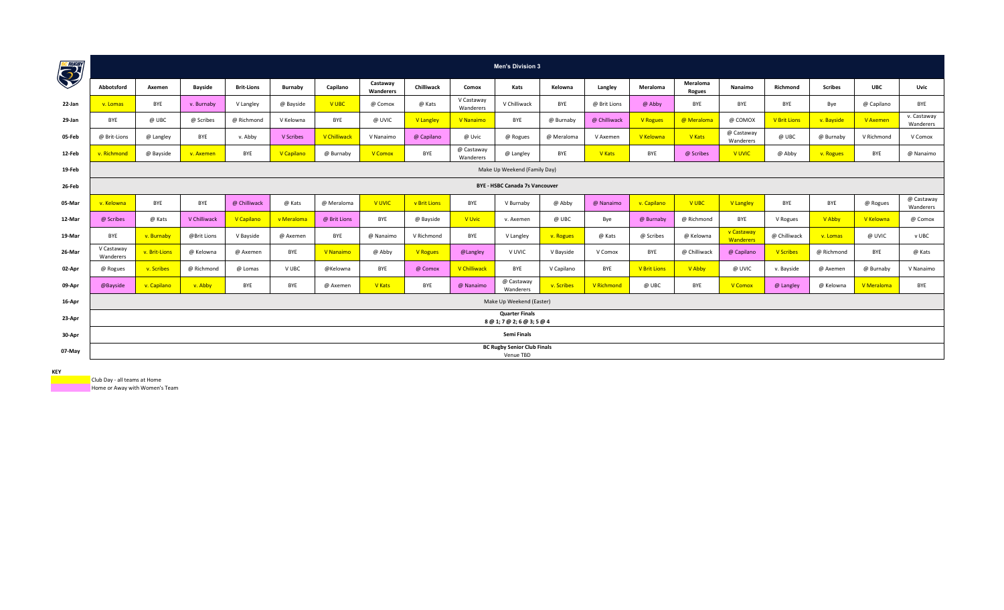| <b>BC RUGHT</b> |                                       |               |                |                   |                |                     |                       |                 |                         | <b>Men's Division 3</b>                             |            |               |                     |                           |                                |                     |                |            |                          |
|-----------------|---------------------------------------|---------------|----------------|-------------------|----------------|---------------------|-----------------------|-----------------|-------------------------|-----------------------------------------------------|------------|---------------|---------------------|---------------------------|--------------------------------|---------------------|----------------|------------|--------------------------|
|                 | Abbotsford                            | Axemen        | <b>Bayside</b> | <b>Brit-Lions</b> | <b>Burnaby</b> | Capilano            | Castaway<br>Wanderers | Chilliwack      | Comox                   | Kats                                                | Kelowna    | Langley       | Meraloma            | Meraloma<br><b>Rogues</b> | Nanaimo                        | Richmond            | <b>Scribes</b> | <b>UBC</b> | Uvic                     |
| 22-Jan          | v. Lomas                              | <b>BYE</b>    | v. Burnaby     | V Langley         | @ Bayside      | <b>VUBC</b>         | @ Comox               | @ Kats          | V Castaway<br>Wanderers | V Chilliwack                                        | <b>BYE</b> | @ Brit Lions  | @ Abby              | BYE                       | BYE                            | BYE                 | Bye            | @ Capilano | <b>BYE</b>               |
| 29-Jan          | BYE                                   | @ UBC         | @ Scribes      | @ Richmond        | V Kelowna      | BYE                 | @ UVIC                | V Langley       | V Nanaimo               | BYE                                                 | @ Burnaby  | @ Chilliwack  | <b>V</b> Rogues     | @ Meraloma                | @ COMOX                        | <b>V Brit Lions</b> | v. Bayside     | V Axemen   | v. Castaway<br>Wanderers |
| 05-Feb          | @ Brit-Lions                          | @ Langley     | BYE            | v. Abby           | V Scribes      | <b>V Chilliwack</b> | V Nanaimo             | @ Capilano      | @ Uvic                  | @ Rogues                                            | @ Meraloma | V Axemen      | V Kelowna           | V Kats                    | @ Castaway<br>Wanderers        | @ UBC               | @ Burnaby      | V Richmond | V Comox                  |
| 12-Feb          | v. Richmond                           | @ Bayside     | v. Axemen      | BYE               | V Capilano     | @ Burnaby           | V Comox               | BYE             | @ Castaway<br>Wanderers | @ Langley                                           | BYE        | <b>V</b> Kats | <b>BYE</b>          | @ Scribes                 | <b>VUVIC</b>                   | @ Abby              | v. Rogues      | BYE        | @ Nanaimo                |
| 19-Feb          | Make Up Weekend (Family Day)          |               |                |                   |                |                     |                       |                 |                         |                                                     |            |               |                     |                           |                                |                     |                |            |                          |
| 26-Feb          | <b>BYE - HSBC Canada 7s Vancouver</b> |               |                |                   |                |                     |                       |                 |                         |                                                     |            |               |                     |                           |                                |                     |                |            |                          |
| 05-Mar          | v. Kelowna                            | BYE           | BYE            | @ Chilliwack      | @ Kats         | @ Meraloma          | <b>V UVIC</b>         | v Brit Lions    | BYE                     | V Burnaby                                           | @ Abby     | @ Nanaimo     | v. Capilano         | V UBC                     | <b>V</b> Langley               | BYE                 | BYE            | @ Rogues   | @ Castaway<br>Wanderers  |
| 12-Mar          | @ Scribes                             | @ Kats        | V Chilliwack   | V Capilano        | v Meraloma     | @ Brit Lions        | BYE                   | @ Bayside       | V Uvic                  | v. Axemen                                           | @ UBC      | Bye           | @ Burnaby           | @ Richmond                | BYE                            | V Rogues            | V Abby         | V Kelowna  | @ Comox                  |
| 19-Mar          | <b>BYE</b>                            | v. Burnaby    | @Brit Lions    | V Bayside         | @ Axemen       | BYE                 | @ Nanaimo             | V Richmond      | <b>BYE</b>              | V Langley                                           | v. Rogues  | @ Kats        | @ Scribes           | @ Kelowna                 | v Castaway<br><b>Wanderers</b> | @ Chilliwack        | v. Lomas       | @ UVIC     | v UBC                    |
| 26-Mar          | V Castaway<br>Wanderers               | v. Brit-Lions | @ Kelowna      | @ Axemen          | <b>BYE</b>     | V Nanaimo           | @ Abby                | <b>V</b> Rogues | @Langley                | V UVIC                                              | V Bayside  | V Comox       | BYE                 | @ Chilliwack              | @ Capilano                     | <b>V</b> Scribes    | @ Richmond     | BYE        | @ Kats                   |
| 02-Apr          | @ Rogues                              | v. Scribes    | @ Richmond     | @ Lomas           | V UBC          | @Kelowna            | BYE                   | @ Comox         | <b>V</b> Chilliwack     | BYE                                                 | V Capilano | BYE           | <b>V Brit Lions</b> | V Abby                    | @ UVIC                         | v. Bayside          | @ Axemen       | @ Burnaby  | V Nanaimo                |
| 09-Apr          | @Bayside                              | v. Capilano   | v. Abby        | BYE               | BYE            | @ Axemen            | <b>V</b> Kats         | BYE             | @ Nanaimo               | @ Castaway<br>Wanderers                             | v. Scribes | V Richmond    | @ UBC               | BYE                       | V Comox                        | @ Langley           | @ Kelowna      | V Meraloma | BYE                      |
| 16-Apr          |                                       |               |                |                   |                |                     |                       |                 |                         | Make Up Weekend (Easter)                            |            |               |                     |                           |                                |                     |                |            |                          |
| 23-Apr          |                                       |               |                |                   |                |                     |                       |                 |                         | <b>Quarter Finals</b><br>8 @ 1; 7 @ 2; 6 @ 3; 5 @ 4 |            |               |                     |                           |                                |                     |                |            |                          |
| 30-Apr          |                                       |               |                |                   |                |                     |                       |                 |                         | Semi Finals                                         |            |               |                     |                           |                                |                     |                |            |                          |
| 07-May          |                                       |               |                |                   |                |                     |                       |                 |                         | <b>BC Rugby Senior Club Finals</b><br>Venue TBD     |            |               |                     |                           |                                |                     |                |            |                          |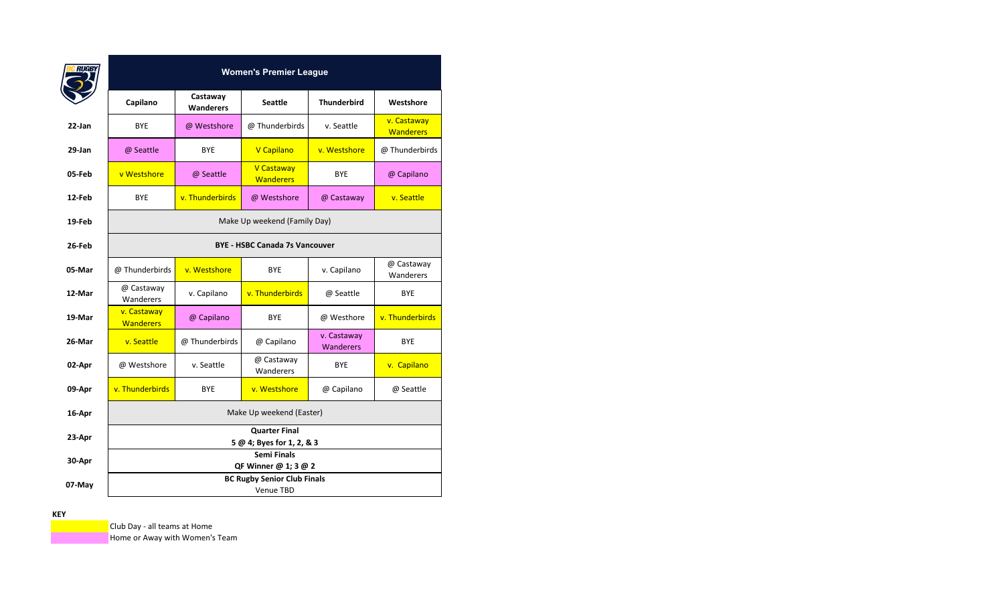|        |                                       |                              | <b>Women's Premier League</b>                          |                                 |                                 |  |  |  |  |  |  |
|--------|---------------------------------------|------------------------------|--------------------------------------------------------|---------------------------------|---------------------------------|--|--|--|--|--|--|
|        | Capilano                              | Castaway<br><b>Wanderers</b> | <b>Seattle</b>                                         | <b>Thunderbird</b>              | Westshore                       |  |  |  |  |  |  |
| 22-Jan | <b>BYE</b>                            | @ Westshore                  | @ Thunderbirds                                         | v. Seattle                      | v. Castaway<br><b>Wanderers</b> |  |  |  |  |  |  |
| 29-Jan | @ Seattle                             | <b>BYE</b>                   | V Capilano                                             | v. Westshore                    | @ Thunderbirds                  |  |  |  |  |  |  |
| 05-Feb | v Westshore                           | @ Seattle                    | V Castaway<br><b>Wanderers</b>                         | <b>BYE</b>                      | @ Capilano                      |  |  |  |  |  |  |
| 12-Feb | <b>BYE</b>                            | v. Thunderbirds              | @ Westshore                                            | @ Castaway                      | v. Seattle                      |  |  |  |  |  |  |
| 19-Feb |                                       |                              | Make Up weekend (Family Day)                           |                                 |                                 |  |  |  |  |  |  |
| 26-Feb | <b>BYE - HSBC Canada 7s Vancouver</b> |                              |                                                        |                                 |                                 |  |  |  |  |  |  |
| 05-Mar | @ Thunderbirds                        | v. Westshore                 | <b>BYE</b>                                             | v. Capilano                     | @ Castaway<br>Wanderers         |  |  |  |  |  |  |
| 12-Mar | @ Castaway<br>Wanderers               | v. Capilano                  | v. Thunderbirds                                        | @ Seattle                       | <b>BYE</b>                      |  |  |  |  |  |  |
| 19-Mar | v. Castaway<br><b>Wanderers</b>       | @ Capilano                   | <b>BYE</b>                                             | @ Westhore                      | v. Thunderbirds                 |  |  |  |  |  |  |
| 26-Mar | v. Seattle                            | @ Thunderbirds               | @ Capilano                                             | v. Castaway<br><b>Wanderers</b> | <b>BYE</b>                      |  |  |  |  |  |  |
| 02-Apr | @ Westshore                           | v. Seattle                   | @ Castaway<br>Wanderers                                | <b>BYE</b>                      | v. Capilano                     |  |  |  |  |  |  |
| 09-Apr | v. Thunderbirds                       | <b>BYE</b>                   | v. Westshore                                           | @ Capilano                      | @ Seattle                       |  |  |  |  |  |  |
| 16-Apr |                                       |                              | Make Up weekend (Easter)                               |                                 |                                 |  |  |  |  |  |  |
| 23-Apr |                                       |                              | <b>Quarter Final</b><br>5 @ 4; Byes for 1, 2, & 3      |                                 |                                 |  |  |  |  |  |  |
| 30-Apr |                                       |                              | <b>Semi Finals</b><br>QF Winner @ 1; 3 @ 2             |                                 |                                 |  |  |  |  |  |  |
| 07-May |                                       |                              | <b>BC Rugby Senior Club Finals</b><br><b>Venue TBD</b> |                                 |                                 |  |  |  |  |  |  |